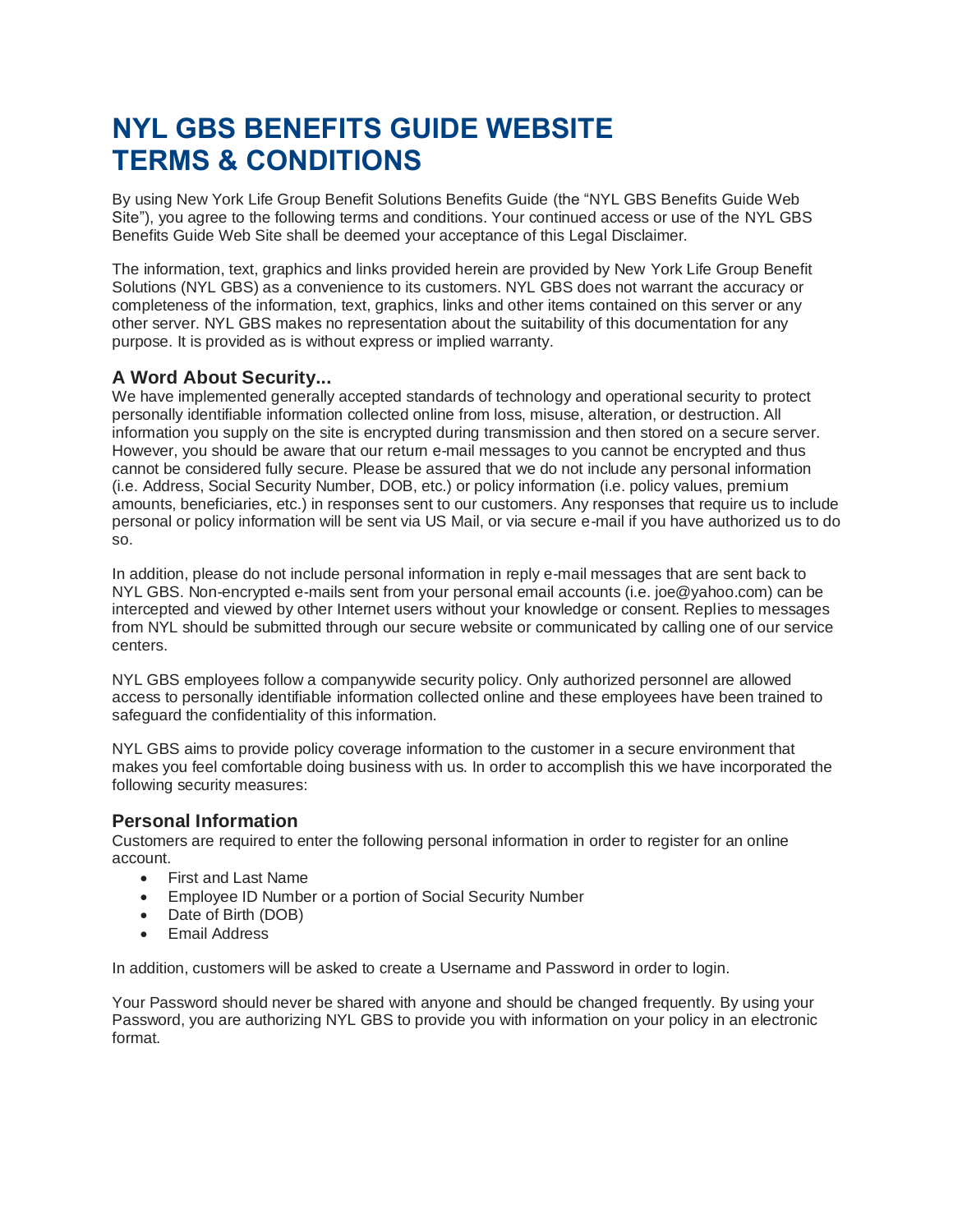# **NYL GBS BENEFITS GUIDE WEBSITE TERMS & CONDITIONS**

By using New York Life Group Benefit Solutions Benefits Guide (the "NYL GBS Benefits Guide Web Site"), you agree to the following terms and conditions. Your continued access or use of the NYL GBS Benefits Guide Web Site shall be deemed your acceptance of this Legal Disclaimer.

The information, text, graphics and links provided herein are provided by New York Life Group Benefit Solutions (NYL GBS) as a convenience to its customers. NYL GBS does not warrant the accuracy or completeness of the information, text, graphics, links and other items contained on this server or any other server. NYL GBS makes no representation about the suitability of this documentation for any purpose. It is provided as is without express or implied warranty.

# **A Word About Security...**

We have implemented generally accepted standards of technology and operational security to protect personally identifiable information collected online from loss, misuse, alteration, or destruction. All information you supply on the site is encrypted during transmission and then stored on a secure server. However, you should be aware that our return e-mail messages to you cannot be encrypted and thus cannot be considered fully secure. Please be assured that we do not include any personal information (i.e. Address, Social Security Number, DOB, etc.) or policy information (i.e. policy values, premium amounts, beneficiaries, etc.) in responses sent to our customers. Any responses that require us to include personal or policy information will be sent via US Mail, or via secure e-mail if you have authorized us to do so.

In addition, please do not include personal information in reply e-mail messages that are sent back to NYL GBS. Non-encrypted e-mails sent from your personal email accounts (i.e. joe@yahoo.com) can be intercepted and viewed by other Internet users without your knowledge or consent. Replies to messages from NYL should be submitted through our secure website or communicated by calling one of our service centers.

NYL GBS employees follow a companywide security policy. Only authorized personnel are allowed access to personally identifiable information collected online and these employees have been trained to safeguard the confidentiality of this information.

NYL GBS aims to provide policy coverage information to the customer in a secure environment that makes you feel comfortable doing business with us. In order to accomplish this we have incorporated the following security measures:

#### **Personal Information**

Customers are required to enter the following personal information in order to register for an online account.

- First and Last Name
- Employee ID Number or a portion of Social Security Number
- Date of Birth (DOB)
- Email Address

In addition, customers will be asked to create a Username and Password in order to login.

Your Password should never be shared with anyone and should be changed frequently. By using your Password, you are authorizing NYL GBS to provide you with information on your policy in an electronic format.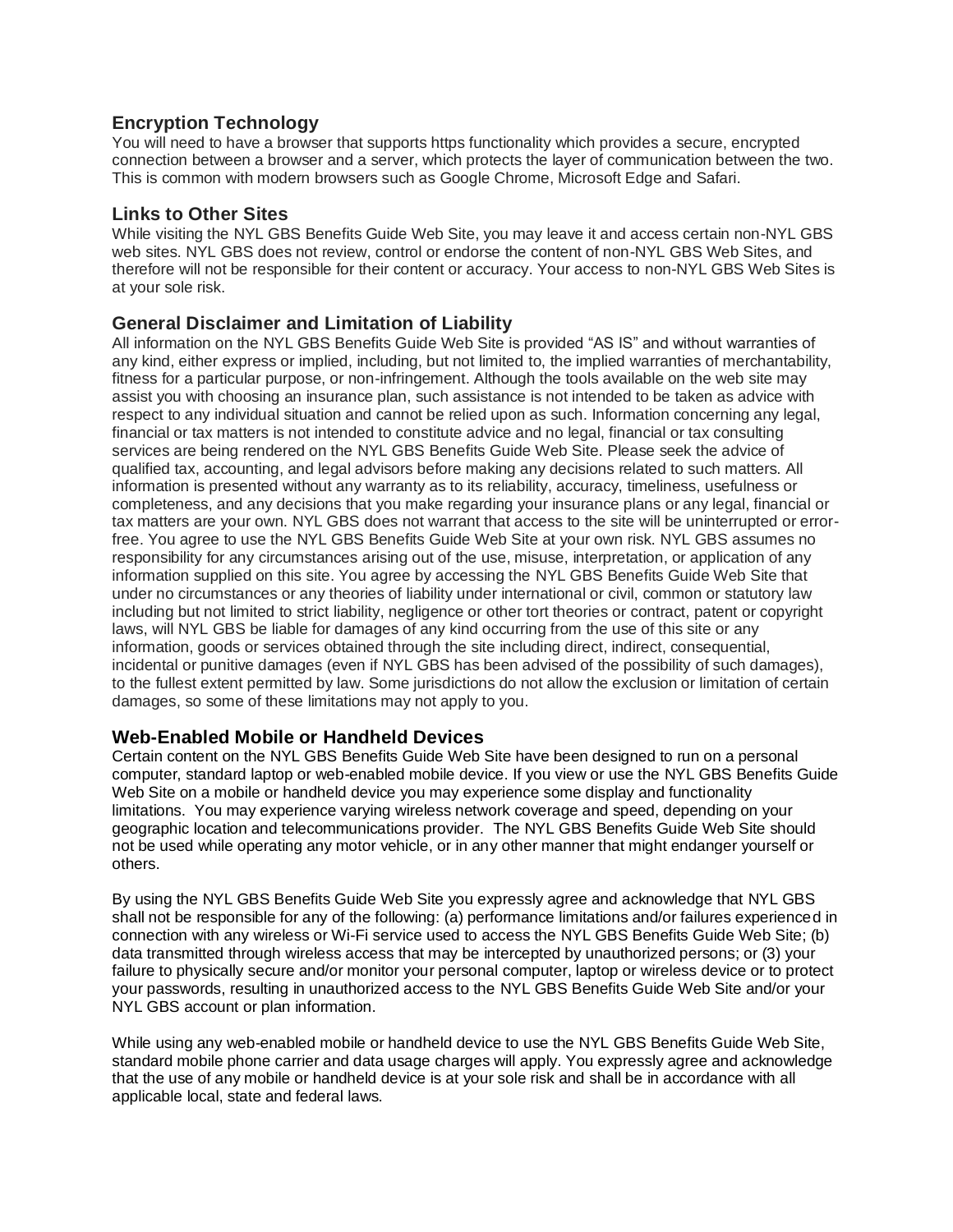### **Encryption Technology**

You will need to have a browser that supports https functionality which provides a secure, encrypted connection between a browser and a server, which protects the layer of communication between the two. This is common with modern browsers such as Google Chrome, Microsoft Edge and Safari.

#### **Links to Other Sites**

While visiting the NYL GBS Benefits Guide Web Site, you may leave it and access certain non-NYL GBS web sites. NYL GBS does not review, control or endorse the content of non-NYL GBS Web Sites, and therefore will not be responsible for their content or accuracy. Your access to non-NYL GBS Web Sites is at your sole risk.

#### **General Disclaimer and Limitation of Liability**

All information on the NYL GBS Benefits Guide Web Site is provided "AS IS" and without warranties of any kind, either express or implied, including, but not limited to, the implied warranties of merchantability, fitness for a particular purpose, or non-infringement. Although the tools available on the web site may assist you with choosing an insurance plan, such assistance is not intended to be taken as advice with respect to any individual situation and cannot be relied upon as such. Information concerning any legal, financial or tax matters is not intended to constitute advice and no legal, financial or tax consulting services are being rendered on the NYL GBS Benefits Guide Web Site. Please seek the advice of qualified tax, accounting, and legal advisors before making any decisions related to such matters. All information is presented without any warranty as to its reliability, accuracy, timeliness, usefulness or completeness, and any decisions that you make regarding your insurance plans or any legal, financial or tax matters are your own. NYL GBS does not warrant that access to the site will be uninterrupted or errorfree. You agree to use the NYL GBS Benefits Guide Web Site at your own risk. NYL GBS assumes no responsibility for any circumstances arising out of the use, misuse, interpretation, or application of any information supplied on this site. You agree by accessing the NYL GBS Benefits Guide Web Site that under no circumstances or any theories of liability under international or civil, common or statutory law including but not limited to strict liability, negligence or other tort theories or contract, patent or copyright laws, will NYL GBS be liable for damages of any kind occurring from the use of this site or any information, goods or services obtained through the site including direct, indirect, consequential, incidental or punitive damages (even if NYL GBS has been advised of the possibility of such damages), to the fullest extent permitted by law. Some jurisdictions do not allow the exclusion or limitation of certain damages, so some of these limitations may not apply to you.

#### **Web-Enabled Mobile or Handheld Devices**

Certain content on the NYL GBS Benefits Guide Web Site have been designed to run on a personal computer, standard laptop or web-enabled mobile device. If you view or use the NYL GBS Benefits Guide Web Site on a mobile or handheld device you may experience some display and functionality limitations. You may experience varying wireless network coverage and speed, depending on your geographic location and telecommunications provider. The NYL GBS Benefits Guide Web Site should not be used while operating any motor vehicle, or in any other manner that might endanger yourself or others.

By using the NYL GBS Benefits Guide Web Site you expressly agree and acknowledge that NYL GBS shall not be responsible for any of the following: (a) performance limitations and/or failures experienced in connection with any wireless or Wi-Fi service used to access the NYL GBS Benefits Guide Web Site; (b) data transmitted through wireless access that may be intercepted by unauthorized persons; or (3) your failure to physically secure and/or monitor your personal computer, laptop or wireless device or to protect your passwords, resulting in unauthorized access to the NYL GBS Benefits Guide Web Site and/or your NYL GBS account or plan information.

While using any web-enabled mobile or handheld device to use the NYL GBS Benefits Guide Web Site, standard mobile phone carrier and data usage charges will apply. You expressly agree and acknowledge that the use of any mobile or handheld device is at your sole risk and shall be in accordance with all applicable local, state and federal laws.